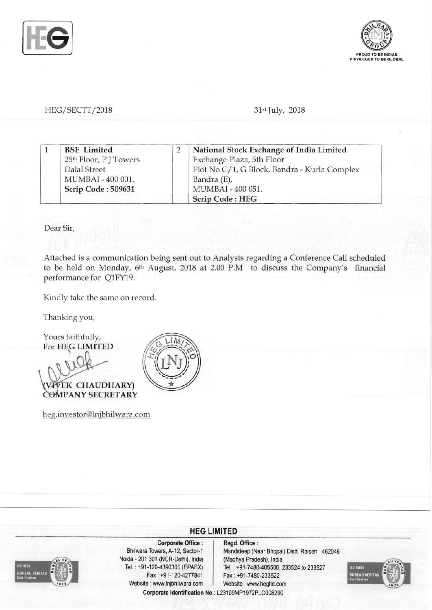



## HEG/SECTT/2018 **31st July**, 2018

|  | <b>BSE</b> Limited     | National Stock Exchange of India Limited     |
|--|------------------------|----------------------------------------------|
|  | 25th Floor, P J Towers | Exchange Plaza, 5th Floor                    |
|  | <b>Dalal Street</b>    | Plot No.C/1, G Block, Bandra - Kurla Complex |
|  | MUMBAI - 400 001.      | Bandra (E),                                  |
|  | Scrip Code: 509631     | MUMBAI - 400 051.                            |
|  |                        | <b>Scrip Code: HEG</b>                       |

Dear Sir,

Attached is a communication being sent out to Analysts regarding a Conference Call scheduled to be held on Monday, 6th August, 2018 at 2.00 P.M to discuss the Company's financial performance for Q1FY19.

Kindly take the same on record.

Thanking you,

Yours faithfully, For HEG LIMITED EK CHAUDHARY) COMPANY SECRETARY

heg.investor@lnjbhilwara.com





Corporate Office : | Regd. Office : Noida - 201 301 (NCR-Delhi), India (Madhya Pradesh), India Fax: +91-120-4277841 Fax : +91-7480-233522 Website: www.lnjbhilwara.com Website: www.hegltd.com

Bhilwara Towers, A-12, Sector-1 Mandideep (Near Bhopal) Distt. Raisen - 462046 Tel. : +91-120-4390300 (EPABX) Tel. : +91-7480-405500, 233524 to 233527



Corporate Identification No.: L23109MP1972PLC008290

**HEG LIMITED**